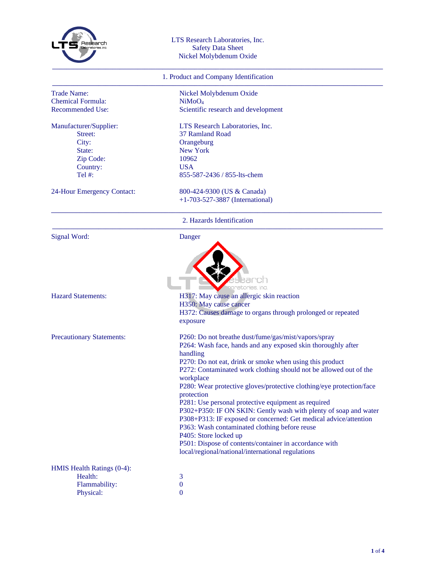

## LTS Research Laboratories, Inc. Safety Data Sheet Nickel Molybdenum Oxide

## 1. Product and Company Identification

| <b>Trade Name:</b>               | Nickel Molybdenum Oxide                                                                                                                                         |
|----------------------------------|-----------------------------------------------------------------------------------------------------------------------------------------------------------------|
| <b>Chemical Formula:</b>         | NiMoO <sub>4</sub>                                                                                                                                              |
| <b>Recommended Use:</b>          | Scientific research and development                                                                                                                             |
| Manufacturer/Supplier:           | LTS Research Laboratories, Inc.                                                                                                                                 |
| Street:                          | 37 Ramland Road                                                                                                                                                 |
| City:                            | Orangeburg                                                                                                                                                      |
| State:                           | New York                                                                                                                                                        |
| Zip Code:                        | 10962                                                                                                                                                           |
| Country:                         | <b>USA</b>                                                                                                                                                      |
| Tel #:                           | 855-587-2436 / 855-lts-chem                                                                                                                                     |
| 24-Hour Emergency Contact:       | 800-424-9300 (US & Canada)                                                                                                                                      |
|                                  | $+1-703-527-3887$ (International)                                                                                                                               |
|                                  | 2. Hazards Identification                                                                                                                                       |
| Signal Word:                     | Danger                                                                                                                                                          |
| <b>Hazard Statements:</b>        | atories. Inc.<br>H317: May cause an allergic skin reaction<br>H350: May cause cancer<br>H372: Causes damage to organs through prolonged or repeated<br>exposure |
| <b>Precautionary Statements:</b> | P260: Do not breathe dust/fume/gas/mist/vapors/spray                                                                                                            |
|                                  | P264: Wash face, hands and any exposed skin thoroughly after                                                                                                    |
|                                  | handling<br>P270: Do not eat, drink or smoke when using this product                                                                                            |
|                                  | P272: Contaminated work clothing should not be allowed out of the                                                                                               |
|                                  | workplace                                                                                                                                                       |
|                                  | P280: Wear protective gloves/protective clothing/eye protection/face                                                                                            |
|                                  | protection                                                                                                                                                      |
|                                  | P281: Use personal protective equipment as required                                                                                                             |
|                                  | P302+P350: IF ON SKIN: Gently wash with plenty of soap and water                                                                                                |
|                                  | P308+P313: IF exposed or concerned: Get medical advice/attention                                                                                                |
|                                  | P363: Wash contaminated clothing before reuse                                                                                                                   |
|                                  | P405: Store locked up                                                                                                                                           |
|                                  | P501: Dispose of contents/container in accordance with                                                                                                          |
|                                  | local/regional/national/international regulations                                                                                                               |
| HMIS Health Ratings (0-4):       |                                                                                                                                                                 |
| Health:                          | 3                                                                                                                                                               |
| Flammability:                    | $\boldsymbol{0}$                                                                                                                                                |
| Physical:                        | $\boldsymbol{0}$                                                                                                                                                |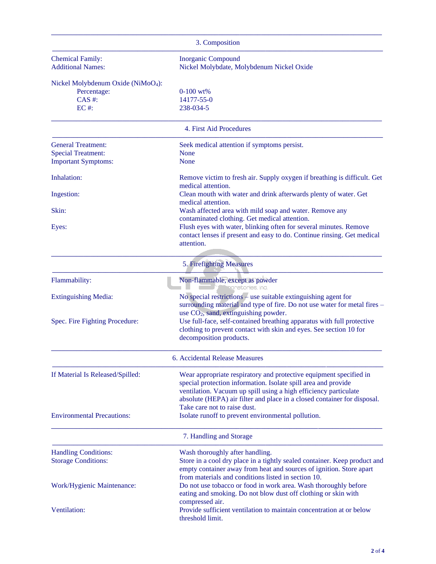| 3. Composition                                 |                                                                                                |  |
|------------------------------------------------|------------------------------------------------------------------------------------------------|--|
| <b>Chemical Family:</b>                        | <b>Inorganic Compound</b>                                                                      |  |
| <b>Additional Names:</b>                       | Nickel Molybdate, Molybdenum Nickel Oxide                                                      |  |
| Nickel Molybdenum Oxide (NiMoO <sub>4</sub> ): |                                                                                                |  |
| Percentage:                                    | $0-100$ wt%                                                                                    |  |
| $CAS$ #:                                       | 14177-55-0                                                                                     |  |
| $EC$ #:                                        | 238-034-5                                                                                      |  |
|                                                | 4. First Aid Procedures                                                                        |  |
| <b>General Treatment:</b>                      | Seek medical attention if symptoms persist.                                                    |  |
| <b>Special Treatment:</b>                      | <b>None</b>                                                                                    |  |
| <b>Important Symptoms:</b>                     | <b>None</b>                                                                                    |  |
| Inhalation:                                    | Remove victim to fresh air. Supply oxygen if breathing is difficult. Get<br>medical attention. |  |
| Ingestion:                                     | Clean mouth with water and drink afterwards plenty of water. Get<br>medical attention.         |  |
| Skin:                                          | Wash affected area with mild soap and water. Remove any                                        |  |
|                                                | contaminated clothing. Get medical attention.                                                  |  |
| Eyes:                                          | Flush eyes with water, blinking often for several minutes. Remove                              |  |
|                                                | contact lenses if present and easy to do. Continue rinsing. Get medical                        |  |
|                                                | attention.                                                                                     |  |
|                                                | 5. Firefighting Measures                                                                       |  |
| Flammability:                                  | Non-flammable, except as powder<br>sonatories, Inc.                                            |  |
| <b>Extinguishing Media:</b>                    | No special restrictions $-$ use suitable extinguishing agent for                               |  |
|                                                | surrounding material and type of fire. Do not use water for metal fires -                      |  |
|                                                | use $CO2$ , sand, extinguishing powder.                                                        |  |
| Spec. Fire Fighting Procedure:                 | Use full-face, self-contained breathing apparatus with full protective                         |  |
|                                                | clothing to prevent contact with skin and eyes. See section 10 for                             |  |
|                                                | decomposition products.                                                                        |  |
|                                                | 6. Accidental Release Measures                                                                 |  |
| If Material Is Released/Spilled:               | Wear appropriate respiratory and protective equipment specified in                             |  |
|                                                | special protection information. Isolate spill area and provide                                 |  |
|                                                | ventilation. Vacuum up spill using a high efficiency particulate                               |  |
|                                                | absolute (HEPA) air filter and place in a closed container for disposal.                       |  |
|                                                | Take care not to raise dust.                                                                   |  |
| <b>Environmental Precautions:</b>              | Isolate runoff to prevent environmental pollution.                                             |  |
|                                                | 7. Handling and Storage                                                                        |  |
| <b>Handling Conditions:</b>                    | Wash thoroughly after handling.                                                                |  |
| <b>Storage Conditions:</b>                     | Store in a cool dry place in a tightly sealed container. Keep product and                      |  |
|                                                | empty container away from heat and sources of ignition. Store apart                            |  |
|                                                | from materials and conditions listed in section 10.                                            |  |
| Work/Hygienic Maintenance:                     | Do not use tobacco or food in work area. Wash thoroughly before                                |  |
|                                                | eating and smoking. Do not blow dust off clothing or skin with<br>compressed air.              |  |
| Ventilation:                                   | Provide sufficient ventilation to maintain concentration at or below                           |  |
|                                                | threshold limit.                                                                               |  |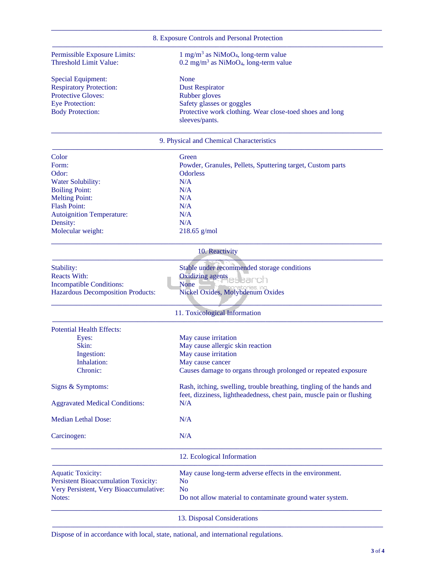|                                             | 8. Exposure Controls and Personal Protection                                                                                                   |
|---------------------------------------------|------------------------------------------------------------------------------------------------------------------------------------------------|
| Permissible Exposure Limits:                | $1 \text{ mg/m}^3$ as NiMoO <sub>4</sub> , long-term value                                                                                     |
| <b>Threshold Limit Value:</b>               | $0.2 \text{ mg/m}^3$ as NiMoO <sub>4</sub> , long-term value                                                                                   |
| Special Equipment:                          | None                                                                                                                                           |
| <b>Respiratory Protection:</b>              | <b>Dust Respirator</b>                                                                                                                         |
| <b>Protective Gloves:</b>                   | Rubber gloves                                                                                                                                  |
| <b>Eye Protection:</b>                      | Safety glasses or goggles                                                                                                                      |
| <b>Body Protection:</b>                     | Protective work clothing. Wear close-toed shoes and long                                                                                       |
|                                             | sleeves/pants.                                                                                                                                 |
|                                             | 9. Physical and Chemical Characteristics                                                                                                       |
| Color                                       | Green                                                                                                                                          |
| Form:                                       | Powder, Granules, Pellets, Sputtering target, Custom parts                                                                                     |
| Odor:                                       | Odorless                                                                                                                                       |
| Water Solubility:                           | N/A                                                                                                                                            |
|                                             |                                                                                                                                                |
| <b>Boiling Point:</b>                       | N/A                                                                                                                                            |
| <b>Melting Point:</b>                       | N/A                                                                                                                                            |
| <b>Flash Point:</b>                         | N/A                                                                                                                                            |
| Autoignition Temperature:                   | N/A                                                                                                                                            |
| Density:                                    | N/A                                                                                                                                            |
| Molecular weight:                           | $218.65$ g/mol                                                                                                                                 |
|                                             | 10. Reactivity                                                                                                                                 |
| Stability:                                  | Stable under recommended storage conditions                                                                                                    |
| <b>Reacts With:</b>                         | <b>Oxidizing agents</b><br>earch                                                                                                               |
| <b>Incompatible Conditions:</b>             | <b>None</b>                                                                                                                                    |
| Hazardous Decomposition Products:           | Nickel Oxides, Molybdenum Oxides                                                                                                               |
|                                             | 11. Toxicological Information                                                                                                                  |
| <b>Potential Health Effects:</b>            |                                                                                                                                                |
| Eyes:                                       | May cause irritation                                                                                                                           |
| Skin:                                       | May cause allergic skin reaction                                                                                                               |
| Ingestion:                                  | May cause irritation                                                                                                                           |
| Inhalation:                                 | May cause cancer                                                                                                                               |
| Chronic:                                    | Causes damage to organs through prolonged or repeated exposure                                                                                 |
|                                             |                                                                                                                                                |
| Signs & Symptoms:                           | Rash, itching, swelling, trouble breathing, tingling of the hands and<br>feet, dizziness, lightheadedness, chest pain, muscle pain or flushing |
| <b>Aggravated Medical Conditions:</b>       | N/A                                                                                                                                            |
| <b>Median Lethal Dose:</b>                  | N/A                                                                                                                                            |
| Carcinogen:                                 | N/A                                                                                                                                            |
|                                             | 12. Ecological Information                                                                                                                     |
| <b>Aquatic Toxicity:</b>                    | May cause long-term adverse effects in the environment.                                                                                        |
| <b>Persistent Bioaccumulation Toxicity:</b> | N <sub>0</sub>                                                                                                                                 |
| Very Persistent, Very Bioaccumulative:      | <b>No</b>                                                                                                                                      |
| Notes:                                      | Do not allow material to contaminate ground water system.                                                                                      |
|                                             | 13. Disposal Considerations                                                                                                                    |

**–––––––––––––––––––––––––––––––––––––––––––––––––––––––––––––––––––––––––––––––––––––––––––––**

Dispose of in accordance with local, state, national, and international regulations.